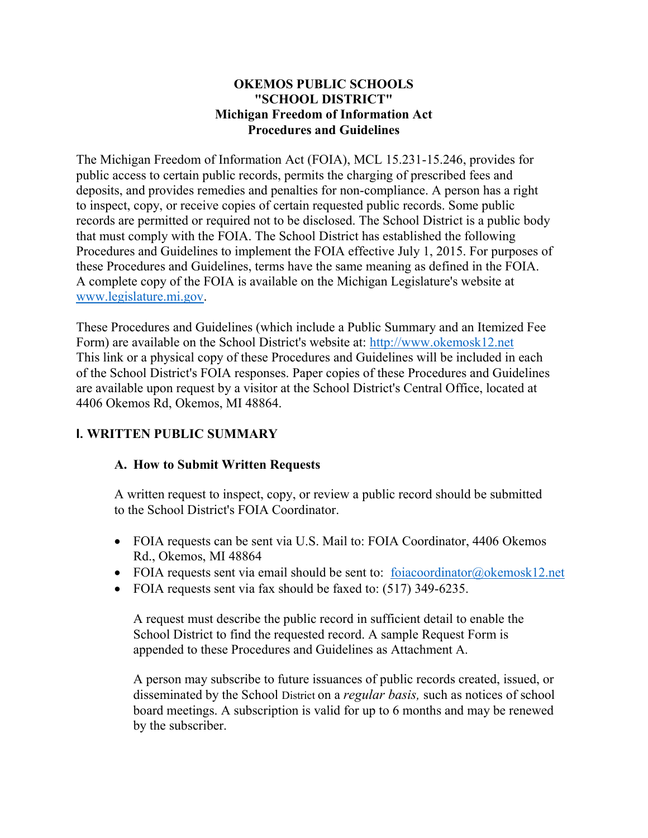## **OKEMOS PUBLIC SCHOOLS "SCHOOL DISTRICT" Michigan Freedom of Information Act Procedures and Guidelines**

The Michigan Freedom of Information Act (FOIA), MCL 15.231-15.246, provides for public access to certain public records, permits the charging of prescribed fees and deposits, and provides remedies and penalties for non-compliance. A person has a right to inspect, copy, or receive copies of certain requested public records. Some public records are permitted or required not to be disclosed. The School District is a public body that must comply with the FOIA. The School District has established the following Procedures and Guidelines to implement the FOIA effective July 1, 2015. For purposes of these Procedures and Guidelines, terms have the same meaning as defined in the FOIA. A complete copy of the FOIA is available on the Michigan Legislature's website at [www.legislature.mi.gov.](http://www.legislature.mi.gov/)

These Procedures and Guidelines (which include a Public Summary and an Itemized Fee Form) are available on the School District's website at: [http://www.okemosk12.net](http://www.okemosk12.net/) This link or a physical copy of these Procedures and Guidelines will be included in each of the School District's FOIA responses. Paper copies of these Procedures and Guidelines are available upon request by a visitor at the School District's Central Office, located at 4406 Okemos Rd, Okemos, MI 48864.

## **I. WRITTEN PUBLIC SUMMARY**

## **A. How to Submit Written Requests**

A written request to inspect, copy, or review a public record should be submitted to the School District's FOIA Coordinator.

- FOIA requests can be sent via U.S. Mail to: FOIA Coordinator, 4406 Okemos Rd., Okemos, MI 48864
- FOIA requests sent via email should be sent to: [foiacoordinator@okemosk12.net](mailto:foiacoordinator@okemosk12.net)
- FOIA requests sent via fax should be faxed to: (517) 349-6235.

A request must describe the public record in sufficient detail to enable the School District to find the requested record. A sample Request Form is appended to these Procedures and Guidelines as Attachment A.

A person may subscribe to future issuances of public records created, issued, or disseminated by the School District on a *regular basis,* such as notices of school board meetings. A subscription is valid for up to 6 months and may be renewed by the subscriber.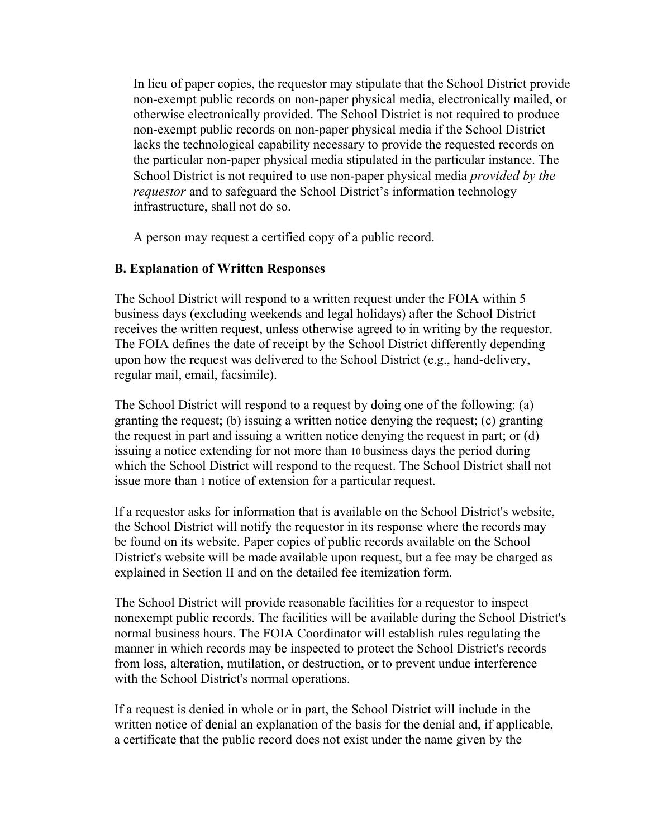In lieu of paper copies, the requestor may stipulate that the School District provide non-exempt public records on non-paper physical media, electronically mailed, or otherwise electronically provided. The School District is not required to produce non-exempt public records on non-paper physical media if the School District lacks the technological capability necessary to provide the requested records on the particular non-paper physical media stipulated in the particular instance. The School District is not required to use non-paper physical media *provided by the requestor* and to safeguard the School District's information technology infrastructure, shall not do so.

A person may request a certified copy of a public record.

## **B. Explanation of Written Responses**

The School District will respond to a written request under the FOIA within 5 business days (excluding weekends and legal holidays) after the School District receives the written request, unless otherwise agreed to in writing by the requestor. The FOIA defines the date of receipt by the School District differently depending upon how the request was delivered to the School District (e.g., hand-delivery, regular mail, email, facsimile).

The School District will respond to a request by doing one of the following: (a) granting the request; (b) issuing a written notice denying the request; (c) granting the request in part and issuing a written notice denying the request in part; or (d) issuing a notice extending for not more than 10 business days the period during which the School District will respond to the request. The School District shall not issue more than 1 notice of extension for a particular request.

If a requestor asks for information that is available on the School District's website, the School District will notify the requestor in its response where the records may be found on its website. Paper copies of public records available on the School District's website will be made available upon request, but a fee may be charged as explained in Section II and on the detailed fee itemization form.

The School District will provide reasonable facilities for a requestor to inspect nonexempt public records. The facilities will be available during the School District's normal business hours. The FOIA Coordinator will establish rules regulating the manner in which records may be inspected to protect the School District's records from loss, alteration, mutilation, or destruction, or to prevent undue interference with the School District's normal operations.

If a request is denied in whole or in part, the School District will include in the written notice of denial an explanation of the basis for the denial and, if applicable, a certificate that the public record does not exist under the name given by the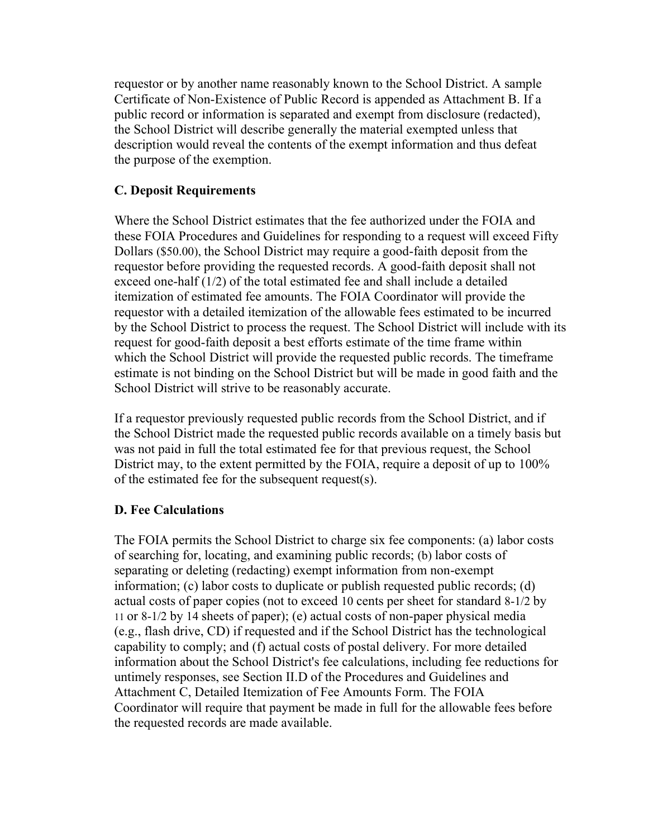requestor or by another name reasonably known to the School District. A sample Certificate of Non-Existence of Public Record is appended as Attachment B. If a public record or information is separated and exempt from disclosure (redacted), the School District will describe generally the material exempted unless that description would reveal the contents of the exempt information and thus defeat the purpose of the exemption.

## **C. Deposit Requirements**

Where the School District estimates that the fee authorized under the FOIA and these FOIA Procedures and Guidelines for responding to a request will exceed Fifty Dollars (\$50.00), the School District may require a good-faith deposit from the requestor before providing the requested records. A good-faith deposit shall not exceed one-half (1/2) of the total estimated fee and shall include a detailed itemization of estimated fee amounts. The FOIA Coordinator will provide the requestor with a detailed itemization of the allowable fees estimated to be incurred by the School District to process the request. The School District will include with its request for good-faith deposit a best efforts estimate of the time frame within which the School District will provide the requested public records. The timeframe estimate is not binding on the School District but will be made in good faith and the School District will strive to be reasonably accurate.

If a requestor previously requested public records from the School District, and if the School District made the requested public records available on a timely basis but was not paid in full the total estimated fee for that previous request, the School District may, to the extent permitted by the FOIA, require a deposit of up to 100% of the estimated fee for the subsequent request(s).

## **D. Fee Calculations**

The FOIA permits the School District to charge six fee components: (a) labor costs of searching for, locating, and examining public records; (b) labor costs of separating or deleting (redacting) exempt information from non-exempt information; (c) labor costs to duplicate or publish requested public records; (d) actual costs of paper copies (not to exceed 10 cents per sheet for standard 8-1/2 by 11 or 8-1/2 by 14 sheets of paper); (e) actual costs of non-paper physical media (e.g., flash drive, CD) if requested and if the School District has the technological capability to comply; and (f) actual costs of postal delivery. For more detailed information about the School District's fee calculations, including fee reductions for untimely responses, see Section II.D of the Procedures and Guidelines and Attachment C, Detailed Itemization of Fee Amounts Form. The FOIA Coordinator will require that payment be made in full for the allowable fees before the requested records are made available.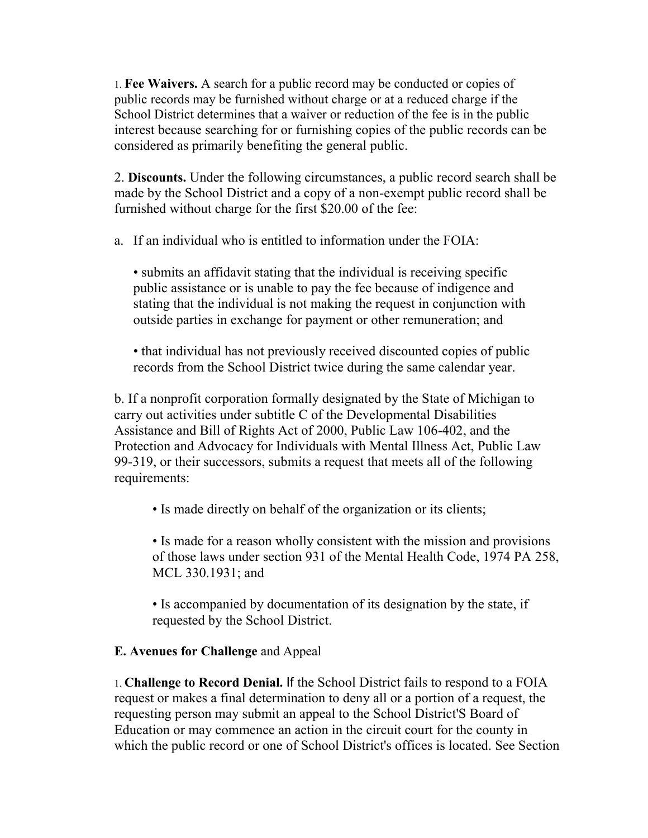1. **Fee Waivers.** A search for a public record may be conducted or copies of public records may be furnished without charge or at a reduced charge if the School District determines that a waiver or reduction of the fee is in the public interest because searching for or furnishing copies of the public records can be considered as primarily benefiting the general public.

2. **Discounts.** Under the following circumstances, a public record search shall be made by the School District and a copy of a non-exempt public record shall be furnished without charge for the first \$20.00 of the fee:

a. If an individual who is entitled to information under the FOIA:

• submits an affidavit stating that the individual is receiving specific public assistance or is unable to pay the fee because of indigence and stating that the individual is not making the request in conjunction with outside parties in exchange for payment or other remuneration; and

• that individual has not previously received discounted copies of public records from the School District twice during the same calendar year.

b. If a nonprofit corporation formally designated by the State of Michigan to carry out activities under subtitle C of the Developmental Disabilities Assistance and Bill of Rights Act of 2000, Public Law 106-402, and the Protection and Advocacy for Individuals with Mental Illness Act, Public Law 99-319, or their successors, submits a request that meets all of the following requirements:

• Is made directly on behalf of the organization or its clients;

• Is made for a reason wholly consistent with the mission and provisions of those laws under section 931 of the Mental Health Code, 1974 PA 258, MCL 330.1931; and

• Is accompanied by documentation of its designation by the state, if requested by the School District.

## **E. Avenues for Challenge** and Appeal

1. **Challenge to Record Denial.** If the School District fails to respond to a FOIA request or makes a final determination to deny all or a portion of a request, the requesting person may submit an appeal to the School District'S Board of Education or may commence an action in the circuit court for the county in which the public record or one of School District's offices is located. See Section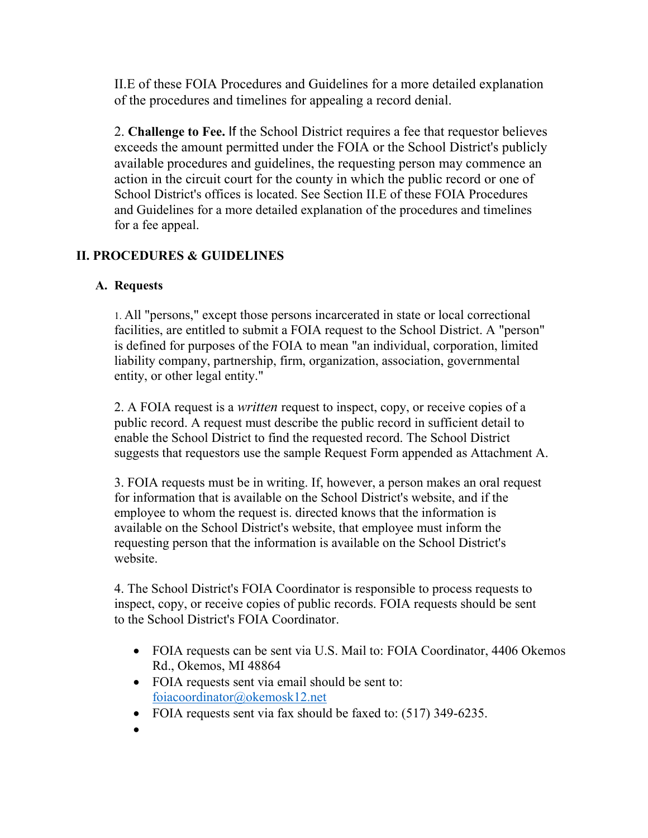II.E of these FOIA Procedures and Guidelines for a more detailed explanation of the procedures and timelines for appealing a record denial.

2. **Challenge to Fee.** If the School District requires a fee that requestor believes exceeds the amount permitted under the FOIA or the School District's publicly available procedures and guidelines, the requesting person may commence an action in the circuit court for the county in which the public record or one of School District's offices is located. See Section II.E of these FOIA Procedures and Guidelines for a more detailed explanation of the procedures and timelines for a fee appeal.

## **II. PROCEDURES & GUIDELINES**

## **A. Requests**

1. All "persons," except those persons incarcerated in state or local correctional facilities, are entitled to submit a FOIA request to the School District. A "person" is defined for purposes of the FOIA to mean "an individual, corporation, limited liability company, partnership, firm, organization, association, governmental entity, or other legal entity."

2. A FOIA request is a *written* request to inspect, copy, or receive copies of a public record. A request must describe the public record in sufficient detail to enable the School District to find the requested record. The School District suggests that requestors use the sample Request Form appended as Attachment A.

3. FOIA requests must be in writing. If, however, a person makes an oral request for information that is available on the School District's website, and if the employee to whom the request is. directed knows that the information is available on the School District's website, that employee must inform the requesting person that the information is available on the School District's website.

4. The School District's FOIA Coordinator is responsible to process requests to inspect, copy, or receive copies of public records. FOIA requests should be sent to the School District's FOIA Coordinator.

- FOIA requests can be sent via U.S. Mail to: FOIA Coordinator, 4406 Okemos Rd., Okemos, MI 48864
- FOIA requests sent via email should be sent to: [foiacoordinator@okemosk12.net](mailto:foiacoordinator@okemosk12.net)
- FOIA requests sent via fax should be faxed to: (517) 349-6235.
- $\bullet$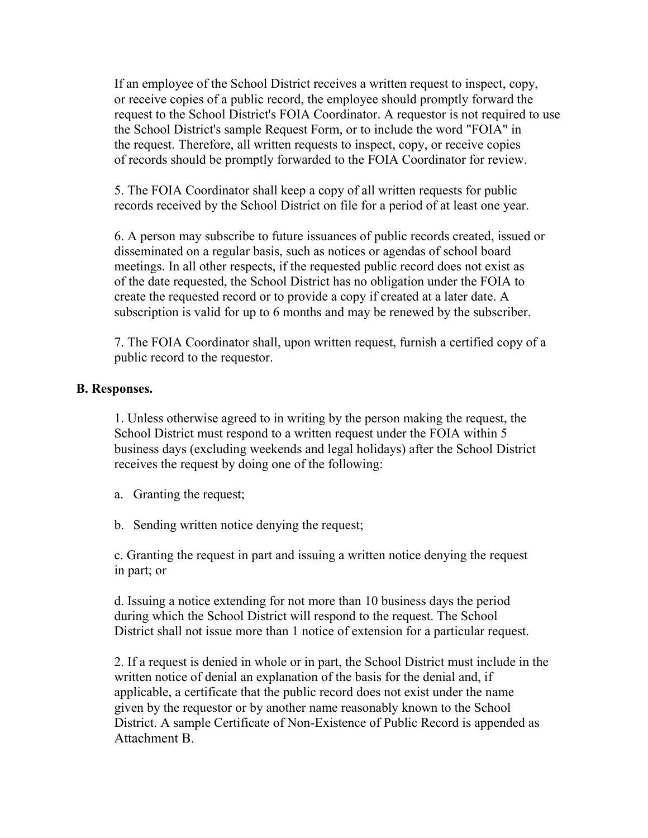If an employee of the School District receives a written request to inspect, copy, or receive copies of a public record, the employee should promptly forward the request to the School District's FOIA Coordinator. A requestor is not required to use the School District's sample Request Form, or to include the word "FOIA" in the request. Therefore, all written requests to inspect, copy, or receive copies of records should be promptly forwarded to the FOIA Coordinator for review.

5. The FOIA Coordinator shall keep a copy of all written requests for public records received by the School District on file for a period of at least one year.

6. A person may subscribe to future issuances of public records created, issued or disseminated on a regular basis, such as notices or agendas of school board meetings. In all other respects, if the requested public record does not exist as of the date requested, the School District has no obligation under the FOIA to create the requested record or to provide a copy if created at a later date. A subscription is valid for up to 6 months and may be renewed by the subscriber.

7. The FOIA Coordinator shall, upon written request, furnish a certified copy of a public record to the requestor.

## **B. Responses.**

1. Unless otherwise agreed to in writing by the person making the request, the School District must respond to a written request under the FOIA within 5 business days (excluding weekends and legal holidays) after the School District receives the request by doing one of the following:

- a. Granting the request;
- b. Sending written notice denying the request;

c. Granting the request in part and issuing a written notice denying the request in part; or

d. Issuing a notice extending for not more than 10 business days the period during which the School District will respond to the request. The School District shall not issue more than 1 notice of extension for a particular request.

2. If a request is denied in whole or in part, the School District must include in the written notice of denial an explanation of the basis for the denial and, if applicable, a certificate that the public record does not exist under the name given by the requestor or by another name reasonably known to the School District. A sample Certificate of Non-Existence of Public Record is appended as Attachment B.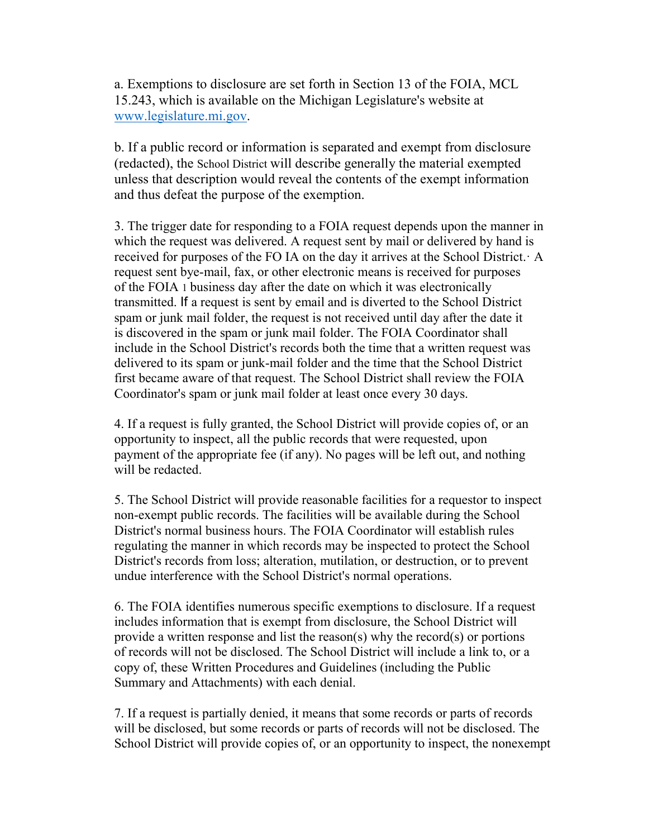a. Exemptions to disclosure are set forth in Section 13 of the FOIA, MCL 15.243, which is available on the Michigan Legislature's website at [www.legislature.mi.gov.](http://www.legislature.mi.gov/)

b. If a public record or information is separated and exempt from disclosure (redacted), the School District will describe generally the material exempted unless that description would reveal the contents of the exempt information and thus defeat the purpose of the exemption.

3. The trigger date for responding to a FOIA request depends upon the manner in which the request was delivered. A request sent by mail or delivered by hand is received for purposes of the FO IA on the day it arrives at the School District.· A request sent bye-mail, fax, or other electronic means is received for purposes of the FOIA 1 business day after the date on which it was electronically transmitted. If a request is sent by email and is diverted to the School District spam or junk mail folder, the request is not received until day after the date it is discovered in the spam or junk mail folder. The FOIA Coordinator shall include in the School District's records both the time that a written request was delivered to its spam or junk-mail folder and the time that the School District first became aware of that request. The School District shall review the FOIA Coordinator's spam or junk mail folder at least once every 30 days.

4. If a request is fully granted, the School District will provide copies of, or an opportunity to inspect, all the public records that were requested, upon payment of the appropriate fee (if any). No pages will be left out, and nothing will be redacted.

5. The School District will provide reasonable facilities for a requestor to inspect non-exempt public records. The facilities will be available during the School District's normal business hours. The FOIA Coordinator will establish rules regulating the manner in which records may be inspected to protect the School District's records from loss; alteration, mutilation, or destruction, or to prevent undue interference with the School District's normal operations.

6. The FOIA identifies numerous specific exemptions to disclosure. If a request includes information that is exempt from disclosure, the School District will provide a written response and list the reason(s) why the record(s) or portions of records will not be disclosed. The School District will include a link to, or a copy of, these Written Procedures and Guidelines (including the Public Summary and Attachments) with each denial.

7. If a request is partially denied, it means that some records or parts of records will be disclosed, but some records or parts of records will not be disclosed. The School District will provide copies of, or an opportunity to inspect, the nonexempt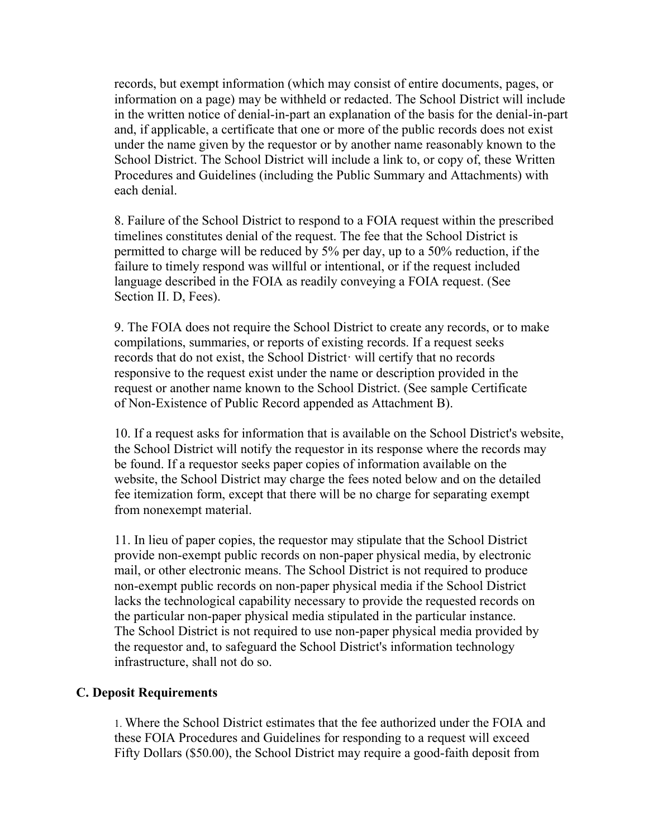records, but exempt information (which may consist of entire documents, pages, or information on a page) may be withheld or redacted. The School District will include in the written notice of denial-in-part an explanation of the basis for the denial-in-part and, if applicable, a certificate that one or more of the public records does not exist under the name given by the requestor or by another name reasonably known to the School District. The School District will include a link to, or copy of, these Written Procedures and Guidelines (including the Public Summary and Attachments) with each denial.

8. Failure of the School District to respond to a FOIA request within the prescribed timelines constitutes denial of the request. The fee that the School District is permitted to charge will be reduced by 5% per day, up to a 50% reduction, if the failure to timely respond was willful or intentional, or if the request included language described in the FOIA as readily conveying a FOIA request. (See Section II. D, Fees).

9. The FOIA does not require the School District to create any records, or to make compilations, summaries, or reports of existing records. If a request seeks records that do not exist, the School District· will certify that no records responsive to the request exist under the name or description provided in the request or another name known to the School District. (See sample Certificate of Non-Existence of Public Record appended as Attachment B).

10. If a request asks for information that is available on the School District's website, the School District will notify the requestor in its response where the records may be found. If a requestor seeks paper copies of information available on the website, the School District may charge the fees noted below and on the detailed fee itemization form, except that there will be no charge for separating exempt from nonexempt material.

11. In lieu of paper copies, the requestor may stipulate that the School District provide non-exempt public records on non-paper physical media, by electronic mail, or other electronic means. The School District is not required to produce non-exempt public records on non-paper physical media if the School District lacks the technological capability necessary to provide the requested records on the particular non-paper physical media stipulated in the particular instance. The School District is not required to use non-paper physical media provided by the requestor and, to safeguard the School District's information technology infrastructure, shall not do so.

## **C. Deposit Requirements**

1. Where the School District estimates that the fee authorized under the FOIA and these FOIA Procedures and Guidelines for responding to a request will exceed Fifty Dollars (\$50.00), the School District may require a good-faith deposit from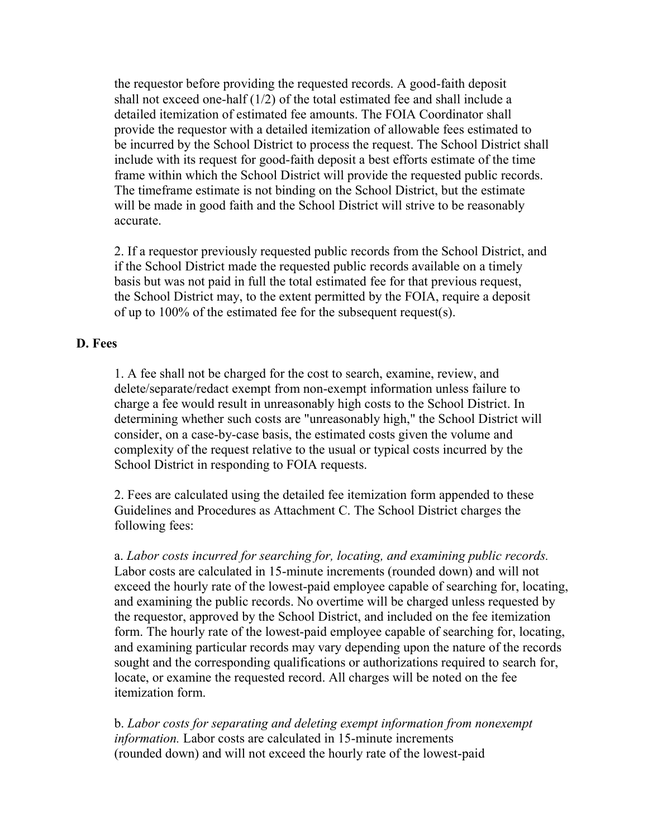the requestor before providing the requested records. A good-faith deposit shall not exceed one-half (1/2) of the total estimated fee and shall include a detailed itemization of estimated fee amounts. The FOIA Coordinator shall provide the requestor with a detailed itemization of allowable fees estimated to be incurred by the School District to process the request. The School District shall include with its request for good-faith deposit a best efforts estimate of the time frame within which the School District will provide the requested public records. The timeframe estimate is not binding on the School District, but the estimate will be made in good faith and the School District will strive to be reasonably accurate.

2. If a requestor previously requested public records from the School District, and if the School District made the requested public records available on a timely basis but was not paid in full the total estimated fee for that previous request, the School District may, to the extent permitted by the FOIA, require a deposit of up to 100% of the estimated fee for the subsequent request(s).

### **D. Fees**

1. A fee shall not be charged for the cost to search, examine, review, and delete/separate/redact exempt from non-exempt information unless failure to charge a fee would result in unreasonably high costs to the School District. In determining whether such costs are "unreasonably high," the School District will consider, on a case-by-case basis, the estimated costs given the volume and complexity of the request relative to the usual or typical costs incurred by the School District in responding to FOIA requests.

2. Fees are calculated using the detailed fee itemization form appended to these Guidelines and Procedures as Attachment C. The School District charges the following fees:

a. *Labor costs incurred for searching for, locating, and examining public records.* Labor costs are calculated in 15-minute increments (rounded down) and will not exceed the hourly rate of the lowest-paid employee capable of searching for, locating, and examining the public records. No overtime will be charged unless requested by the requestor, approved by the School District, and included on the fee itemization form. The hourly rate of the lowest-paid employee capable of searching for, locating, and examining particular records may vary depending upon the nature of the records sought and the corresponding qualifications or authorizations required to search for, locate, or examine the requested record. All charges will be noted on the fee itemization form.

b. *Labor costs for separating and deleting exempt information from nonexempt information.* Labor costs are calculated in 15-minute increments (rounded down) and will not exceed the hourly rate of the lowest-paid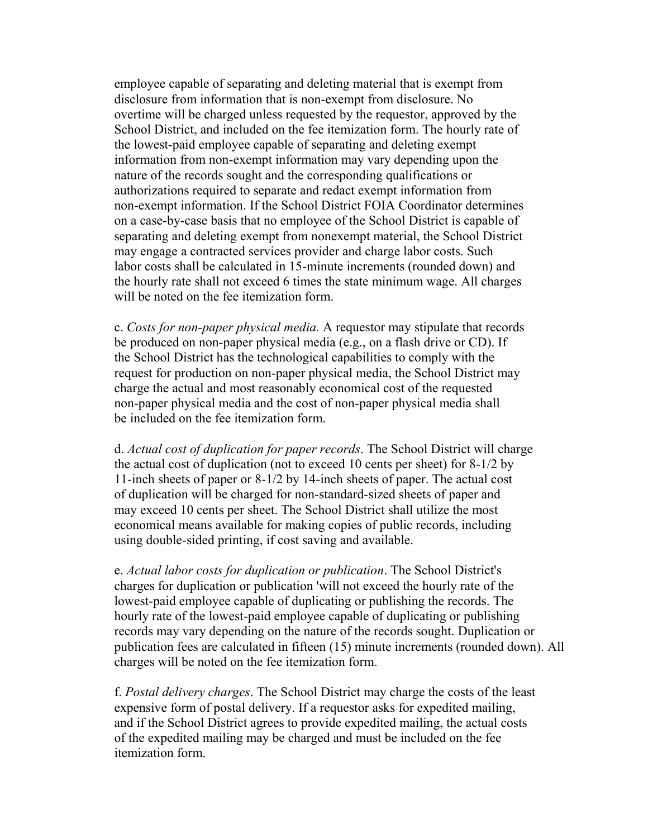employee capable of separating and deleting material that is exempt from disclosure from information that is non-exempt from disclosure. No overtime will be charged unless requested by the requestor, approved by the School District, and included on the fee itemization form. The hourly rate of the lowest-paid employee capable of separating and deleting exempt information from non-exempt information may vary depending upon the nature of the records sought and the corresponding qualifications or authorizations required to separate and redact exempt information from non-exempt information. If the School District FOIA Coordinator determines on a case-by-case basis that no employee of the School District is capable of separating and deleting exempt from nonexempt material, the School District may engage a contracted services provider and charge labor costs. Such labor costs shall be calculated in 15-minute increments (rounded down) and the hourly rate shall not exceed 6 times the state minimum wage. All charges will be noted on the fee itemization form.

c. *Costs for non-paper physical media.* A requestor may stipulate that records be produced on non-paper physical media (e.g., on a flash drive or CD). If the School District has the technological capabilities to comply with the request for production on non-paper physical media, the School District may charge the actual and most reasonably economical cost of the requested non-paper physical media and the cost of non-paper physical media shall be included on the fee itemization form.

d. *Actual cost of duplication for paper records*. The School District will charge the actual cost of duplication (not to exceed 10 cents per sheet) for 8-1/2 by 11-inch sheets of paper or 8-1/2 by 14-inch sheets of paper. The actual cost of duplication will be charged for non-standard-sized sheets of paper and may exceed 10 cents per sheet. The School District shall utilize the most economical means available for making copies of public records, including using double-sided printing, if cost saving and available.

e. *Actual labor costs for duplication or publication*. The School District's charges for duplication or publication 'will not exceed the hourly rate of the lowest-paid employee capable of duplicating or publishing the records. The hourly rate of the lowest-paid employee capable of duplicating or publishing records may vary depending on the nature of the records sought. Duplication or publication fees are calculated in fifteen (15) minute increments (rounded down). All charges will be noted on the fee itemization form.

f. *Postal delivery charges*. The School District may charge the costs of the least expensive form of postal delivery. If a requestor asks for expedited mailing, and if the School District agrees to provide expedited mailing, the actual costs of the expedited mailing may be charged and must be included on the fee itemization form.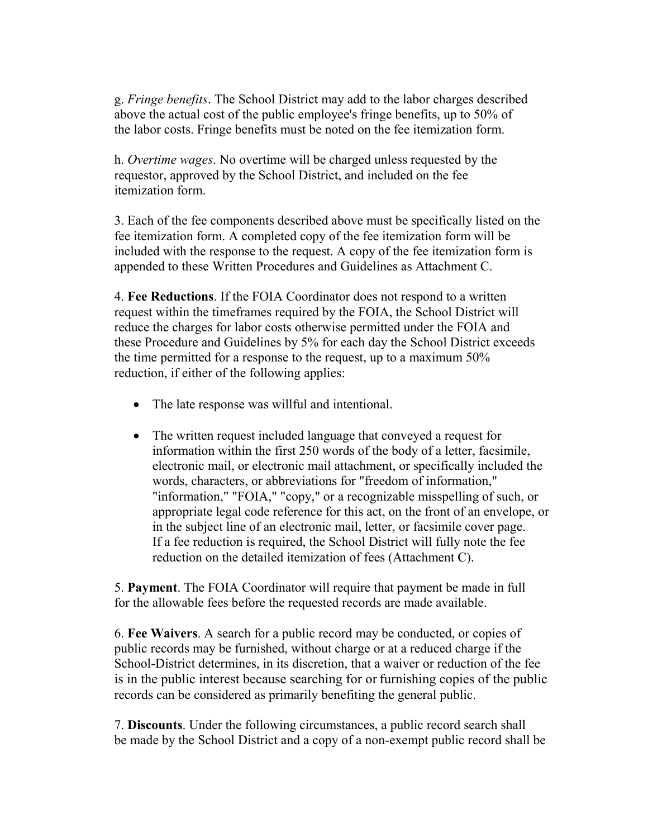g. *Fringe benefits*. The School District may add to the labor charges described above the actual cost of the public employee's fringe benefits, up to 50% of the labor costs. Fringe benefits must be noted on the fee itemization form.

h. *Overtime wages*. No overtime will be charged unless requested by the requestor, approved by the School District, and included on the fee itemization form.

3. Each of the fee components described above must be specifically listed on the fee itemization form. A completed copy of the fee itemization form will be included with the response to the request. A copy of the fee itemization form is appended to these Written Procedures and Guidelines as Attachment C.

4. **Fee Reductions**. If the FOIA Coordinator does not respond to a written request within the timeframes required by the FOIA, the School District will reduce the charges for labor costs otherwise permitted under the FOIA and these Procedure and Guidelines by 5% for each day the School District exceeds the time permitted for a response to the request, up to a maximum 50% reduction, if either of the following applies:

- The late response was willful and intentional.
- The written request included language that conveyed a request for information within the first 250 words of the body of a letter, facsimile, electronic mail, or electronic mail attachment, or specifically included the words, characters, or abbreviations for "freedom of information," "information," "FOIA," "copy," or a recognizable misspelling of such, or appropriate legal code reference for this act, on the front of an envelope, or in the subject line of an electronic mail, letter, or facsimile cover page. If a fee reduction is required, the School District will fully note the fee reduction on the detailed itemization of fees (Attachment C).

5. **Payment**. The FOIA Coordinator will require that payment be made in full for the allowable fees before the requested records are made available.

6. **Fee Waivers**. A search for a public record may be conducted, or copies of public records may be furnished, without charge or at a reduced charge if the School-District determines, in its discretion, that a waiver or reduction of the fee is in the public interest because searching for or furnishing copies of the public records can be considered as primarily benefiting the general public.

7. **Discounts**. Under the following circumstances, a public record search shall be made by the School District and a copy of a non-exempt public record shall be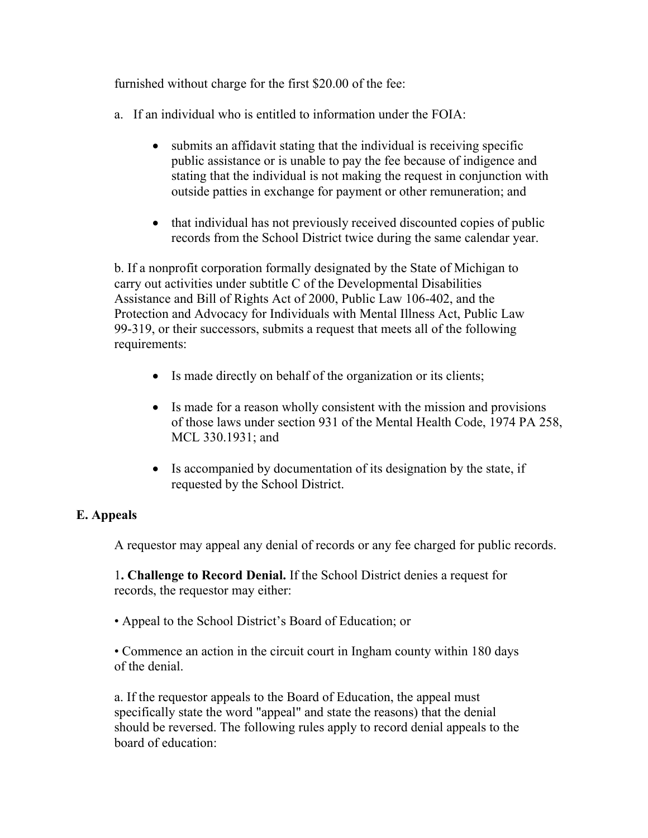furnished without charge for the first \$20.00 of the fee:

- a. If an individual who is entitled to information under the FOIA:
	- submits an affidavit stating that the individual is receiving specific public assistance or is unable to pay the fee because of indigence and stating that the individual is not making the request in conjunction with outside patties in exchange for payment or other remuneration; and
	- that individual has not previously received discounted copies of public records from the School District twice during the same calendar year.

b. If a nonprofit corporation formally designated by the State of Michigan to carry out activities under subtitle C of the Developmental Disabilities Assistance and Bill of Rights Act of 2000, Public Law 106-402, and the Protection and Advocacy for Individuals with Mental Illness Act, Public Law 99-319, or their successors, submits a request that meets all of the following requirements:

- Is made directly on behalf of the organization or its clients;
- Is made for a reason wholly consistent with the mission and provisions of those laws under section 931 of the Mental Health Code, 1974 PA 258, MCL 330.1931; and
- Is accompanied by documentation of its designation by the state, if requested by the School District.

## **E. Appeals**

A requestor may appeal any denial of records or any fee charged for public records.

1**. Challenge to Record Denial.** If the School District denies a request for records, the requestor may either:

• Appeal to the School District's Board of Education; or

• Commence an action in the circuit court in Ingham county within 180 days of the denial.

a. If the requestor appeals to the Board of Education, the appeal must specifically state the word "appeal" and state the reasons) that the denial should be reversed. The following rules apply to record denial appeals to the board of education: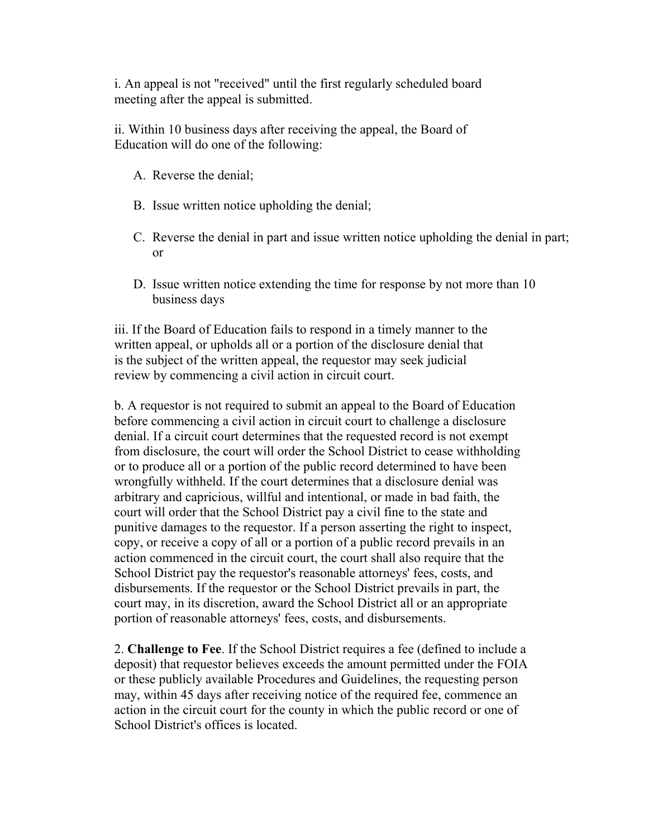i. An appeal is not "received" until the first regularly scheduled board meeting after the appeal is submitted.

ii. Within 10 business days after receiving the appeal, the Board of Education will do one of the following:

- A. Reverse the denial;
- B. Issue written notice upholding the denial;
- C. Reverse the denial in part and issue written notice upholding the denial in part; or
- D. Issue written notice extending the time for response by not more than 10 business days

iii. If the Board of Education fails to respond in a timely manner to the written appeal, or upholds all or a portion of the disclosure denial that is the subject of the written appeal, the requestor may seek judicial review by commencing a civil action in circuit court.

b. A requestor is not required to submit an appeal to the Board of Education before commencing a civil action in circuit court to challenge a disclosure denial. If a circuit court determines that the requested record is not exempt from disclosure, the court will order the School District to cease withholding or to produce all or a portion of the public record determined to have been wrongfully withheld. If the court determines that a disclosure denial was arbitrary and capricious, willful and intentional, or made in bad faith, the court will order that the School District pay a civil fine to the state and punitive damages to the requestor. If a person asserting the right to inspect, copy, or receive a copy of all or a portion of a public record prevails in an action commenced in the circuit court, the court shall also require that the School District pay the requestor's reasonable attorneys' fees, costs, and disbursements. If the requestor or the School District prevails in part, the court may, in its discretion, award the School District all or an appropriate portion of reasonable attorneys' fees, costs, and disbursements.

2. **Challenge to Fee**. If the School District requires a fee (defined to include a deposit) that requestor believes exceeds the amount permitted under the FOIA or these publicly available Procedures and Guidelines, the requesting person may, within 45 days after receiving notice of the required fee, commence an action in the circuit court for the county in which the public record or one of School District's offices is located.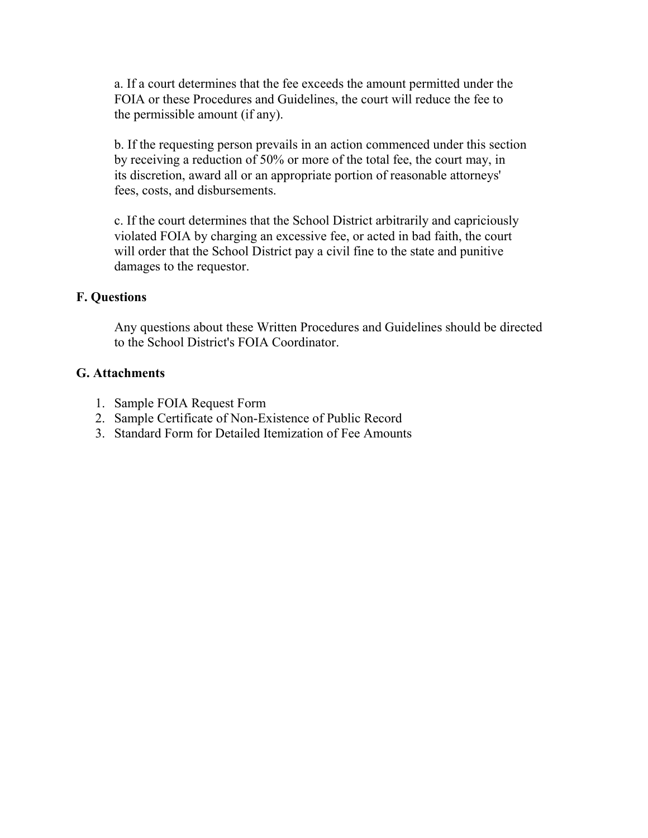a. If a court determines that the fee exceeds the amount permitted under the FOIA or these Procedures and Guidelines, the court will reduce the fee to the permissible amount (if any).

b. If the requesting person prevails in an action commenced under this section by receiving a reduction of 50% or more of the total fee, the court may, in its discretion, award all or an appropriate portion of reasonable attorneys' fees, costs, and disbursements.

c. If the court determines that the School District arbitrarily and capriciously violated FOIA by charging an excessive fee, or acted in bad faith, the court will order that the School District pay a civil fine to the state and punitive damages to the requestor.

### **F. Questions**

Any questions about these Written Procedures and Guidelines should be directed to the School District's FOIA Coordinator.

### **G. Attachments**

- 1. Sample FOIA Request Form
- 2. Sample Certificate of Non-Existence of Public Record
- 3. Standard Form for Detailed Itemization of Fee Amounts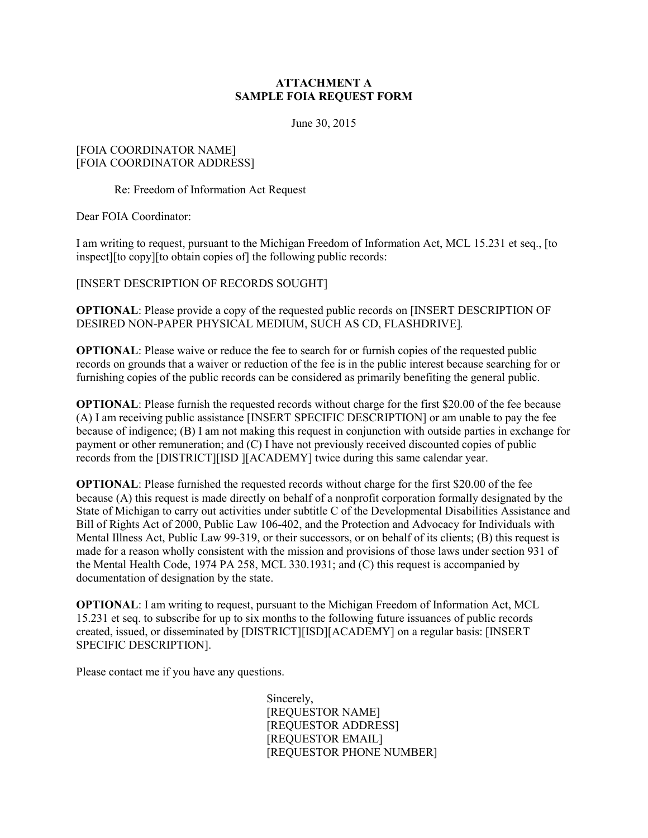#### **ATTACHMENT A SAMPLE FOIA REQUEST FORM**

June 30, 2015

#### [FOIA COORDINATOR NAME] [FOIA COORDINATOR ADDRESS]

Re: Freedom of Information Act Request

Dear FOIA Coordinator:

I am writing to request, pursuant to the Michigan Freedom of Information Act, MCL 15.231 et seq., [to inspect][to copy][to obtain copies of] the following public records:

[INSERT DESCRIPTION OF RECORDS SOUGHT]

**OPTIONAL**: Please provide a copy of the requested public records on [INSERT DESCRIPTION OF DESIRED NON-PAPER PHYSICAL MEDIUM, SUCH AS CD, FLASHDRIVE]*.*

**OPTIONAL:** Please waive or reduce the fee to search for or furnish copies of the requested public records on grounds that a waiver or reduction of the fee is in the public interest because searching for or furnishing copies of the public records can be considered as primarily benefiting the general public.

**OPTIONAL**: Please furnish the requested records without charge for the first \$20.00 of the fee because (A) I am receiving public assistance [INSERT SPECIFIC DESCRIPTION] or am unable to pay the fee because of indigence; (B) I am not making this request in conjunction with outside parties in exchange for payment or other remuneration; and (C) I have not previously received discounted copies of public records from the [DISTRICT][ISD ][ACADEMY] twice during this same calendar year.

**OPTIONAL**: Please furnished the requested records without charge for the first \$20.00 of the fee because (A) this request is made directly on behalf of a nonprofit corporation formally designated by the State of Michigan to carry out activities under subtitle C of the Developmental Disabilities Assistance and Bill of Rights Act of 2000, Public Law 106-402, and the Protection and Advocacy for Individuals with Mental Illness Act, Public Law 99-319, or their successors, or on behalf of its clients; (B) this request is made for a reason wholly consistent with the mission and provisions of those laws under section 931 of the Mental Health Code, 1974 PA 258, MCL 330.1931; and (C) this request is accompanied by documentation of designation by the state.

**OPTIONAL**: I am writing to request, pursuant to the Michigan Freedom of Information Act, MCL 15.231 et seq. to subscribe for up to six months to the following future issuances of public records created, issued, or disseminated by [DISTRICT][ISD][ACADEMY] on a regular basis: [INSERT SPECIFIC DESCRIPTION].

Please contact me if you have any questions.

Sincerely, [REQUESTOR NAME] [REQUESTOR ADDRESS] [REQUESTOR EMAIL] [REQUESTOR PHONE NUMBER]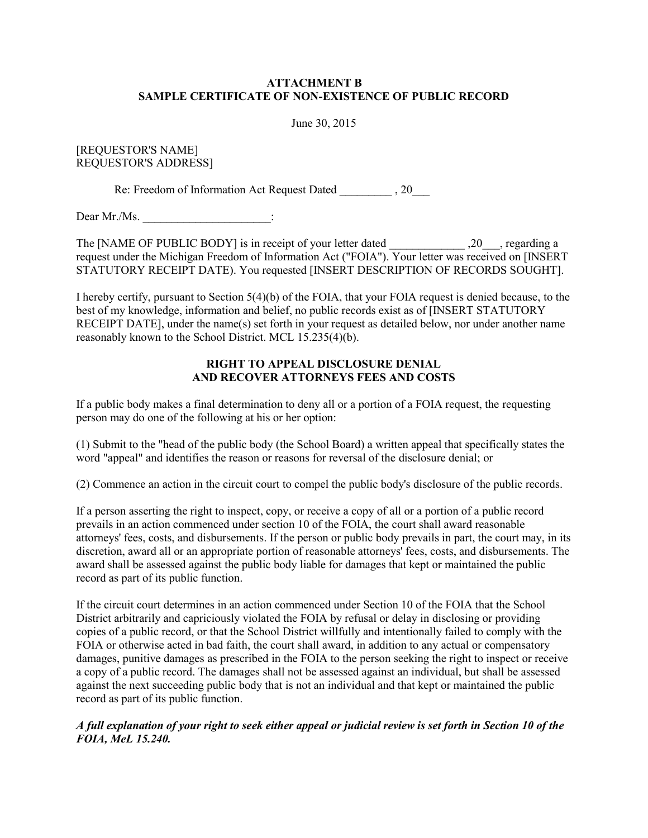#### **ATTACHMENT B SAMPLE CERTIFICATE OF NON-EXISTENCE OF PUBLIC RECORD**

June 30, 2015

#### [REQUESTOR'S NAME] REQUESTOR'S ADDRESS]

Re: Freedom of Information Act Request Dated  $\qquad \qquad , 20$ 

Dear Mr./Ms.  $\vdots$ 

The [NAME OF PUBLIC BODY] is in receipt of your letter dated  $, 20$ , regarding a request under the Michigan Freedom of Information Act ("FOIA"). Your letter was received on [INSERT STATUTORY RECEIPT DATE). You requested [INSERT DESCRIPTION OF RECORDS SOUGHT].

I hereby certify, pursuant to Section 5(4)(b) of the FOIA, that your FOIA request is denied because, to the best of my knowledge, information and belief, no public records exist as of [INSERT STATUTORY RECEIPT DATE], under the name(s) set forth in your request as detailed below, nor under another name reasonably known to the School District. MCL 15.235(4)(b).

#### **RIGHT TO APPEAL DISCLOSURE DENIAL AND RECOVER ATTORNEYS FEES AND COSTS**

If a public body makes a final determination to deny all or a portion of a FOIA request, the requesting person may do one of the following at his or her option:

(1) Submit to the "head of the public body (the School Board) a written appeal that specifically states the word "appeal" and identifies the reason or reasons for reversal of the disclosure denial; or

(2) Commence an action in the circuit court to compel the public body's disclosure of the public records.

If a person asserting the right to inspect, copy, or receive a copy of all or a portion of a public record prevails in an action commenced under section 10 of the FOIA, the court shall award reasonable attorneys' fees, costs, and disbursements. If the person or public body prevails in part, the court may, in its discretion, award all or an appropriate portion of reasonable attorneys' fees, costs, and disbursements. The award shall be assessed against the public body liable for damages that kept or maintained the public record as part of its public function.

If the circuit court determines in an action commenced under Section 10 of the FOIA that the School District arbitrarily and capriciously violated the FOIA by refusal or delay in disclosing or providing copies of a public record, or that the School District willfully and intentionally failed to comply with the FOIA or otherwise acted in bad faith, the court shall award, in addition to any actual or compensatory damages, punitive damages as prescribed in the FOIA to the person seeking the right to inspect or receive a copy of a public record. The damages shall not be assessed against an individual, but shall be assessed against the next succeeding public body that is not an individual and that kept or maintained the public record as part of its public function.

*A full explanation of your right to seek either appeal or judicial review is set forth in Section 10 of the FOIA, MeL 15.240.*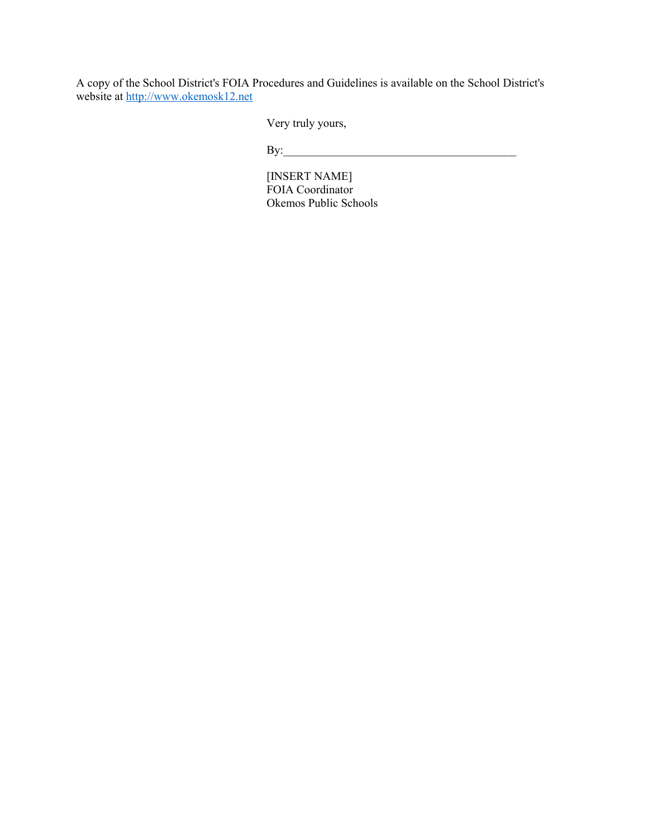A copy of the School District's FOIA Procedures and Guidelines is available on the School District's website at [http://www.okemosk12.net](http://www.okemosk12.net/)

Very truly yours,

By:\_\_\_\_\_\_\_\_\_\_\_\_\_\_\_\_\_\_\_\_\_\_\_\_\_\_\_\_\_\_\_\_\_\_\_\_\_\_\_\_

[INSERT NAME] FOIA Coordinator Okemos Public Schools